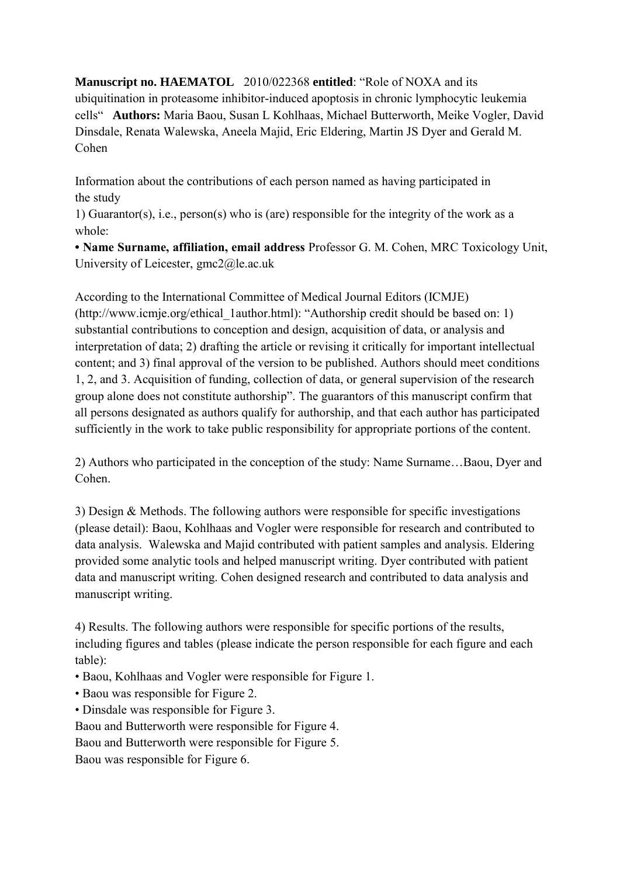**Manuscript no. HAEMATOL** 2010/022368 **entitled**: "Role of NOXA and its ubiquitination in proteasome inhibitor-induced apoptosis in chronic lymphocytic leukemia cells" **Authors:** Maria Baou, Susan L Kohlhaas, Michael Butterworth, Meike Vogler, David Dinsdale, Renata Walewska, Aneela Majid, Eric Eldering, Martin JS Dyer and Gerald M. Cohen

Information about the contributions of each person named as having participated in the study

1) Guarantor(s), i.e., person(s) who is (are) responsible for the integrity of the work as a whole:

**• Name Surname, affiliation, email address** Professor G. M. Cohen, MRC Toxicology Unit, University of Leicester, gmc2@le.ac.uk

According to the International Committee of Medical Journal Editors (ICMJE) (http://www.icmje.org/ethical\_1author.html): "Authorship credit should be based on: 1) substantial contributions to conception and design, acquisition of data, or analysis and interpretation of data; 2) drafting the article or revising it critically for important intellectual content; and 3) final approval of the version to be published. Authors should meet conditions 1, 2, and 3. Acquisition of funding, collection of data, or general supervision of the research group alone does not constitute authorship". The guarantors of this manuscript confirm that all persons designated as authors qualify for authorship, and that each author has participated sufficiently in the work to take public responsibility for appropriate portions of the content.

2) Authors who participated in the conception of the study: Name Surname…Baou, Dyer and Cohen.

3) Design & Methods. The following authors were responsible for specific investigations (please detail): Baou, Kohlhaas and Vogler were responsible for research and contributed to data analysis. Walewska and Majid contributed with patient samples and analysis. Eldering provided some analytic tools and helped manuscript writing. Dyer contributed with patient data and manuscript writing. Cohen designed research and contributed to data analysis and manuscript writing.

4) Results. The following authors were responsible for specific portions of the results, including figures and tables (please indicate the person responsible for each figure and each table):

- Baou, Kohlhaas and Vogler were responsible for Figure 1.
- Baou was responsible for Figure 2.
- Dinsdale was responsible for Figure 3.

Baou and Butterworth were responsible for Figure 4.

Baou and Butterworth were responsible for Figure 5.

Baou was responsible for Figure 6.